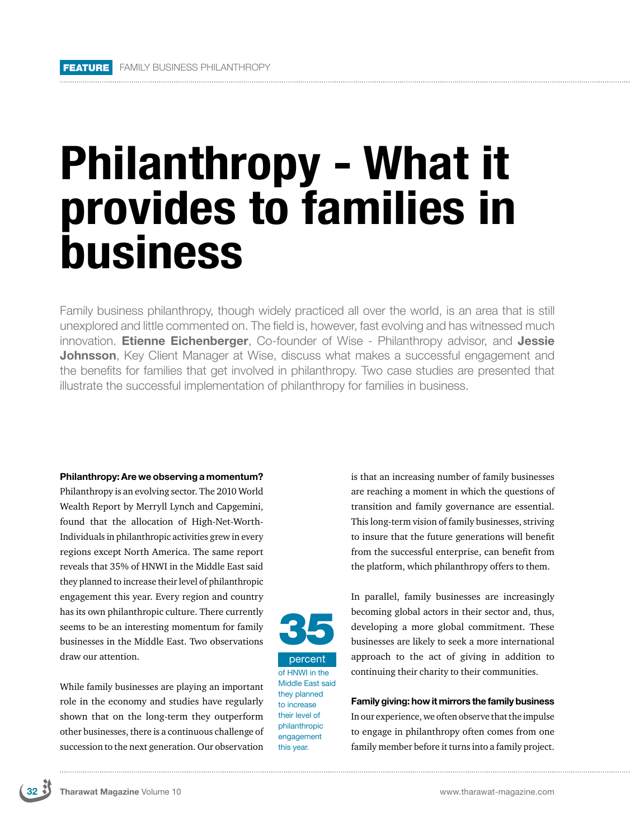# **Philanthropy - What it provides to families in business**

Family business philanthropy, though widely practiced all over the world, is an area that is still unexplored and little commented on. The field is, however, fast evolving and has witnessed much innovation. **Etienne Eichenberger**, Co-founder of Wise - Philanthropy advisor, and **Jessie Johnsson**, Key Client Manager at Wise, discuss what makes a successful engagement and the benefits for families that get involved in philanthropy. Two case studies are presented that illustrate the successful implementation of philanthropy for families in business.

35

percent of HNWI in the Middle East said they planned to increase their level of philanthropic engagement this year.

#### **Philanthropy: Are we observing a momentum?**

Philanthropy is an evolving sector. The 2010 World Wealth Report by Merryll Lynch and Capgemini, found that the allocation of High-Net-Worth-Individuals in philanthropic activities grew in every regions except North America. The same report reveals that 35% of HNWI in the Middle East said they planned to increase their level of philanthropic engagement this year. Every region and country has its own philanthropic culture. There currently seems to be an interesting momentum for family businesses in the Middle East. Two observations draw our attention.

While family businesses are playing an important role in the economy and studies have regularly shown that on the long-term they outperform other businesses, there is a continuous challenge of succession to the next generation. Our observation

is that an increasing number of family businesses are reaching a moment in which the questions of transition and family governance are essential. This long-term vision of family businesses, striving to insure that the future generations will benefit from the successful enterprise, can benefit from the platform, which philanthropy offers to them.

In parallel, family businesses are increasingly becoming global actors in their sector and, thus, developing a more global commitment. These businesses are likely to seek a more international approach to the act of giving in addition to continuing their charity to their communities.

**Family giving: how it mirrors the family business** In our experience, we often observe that the impulse to engage in philanthropy often comes from one family member before it turns into a family project.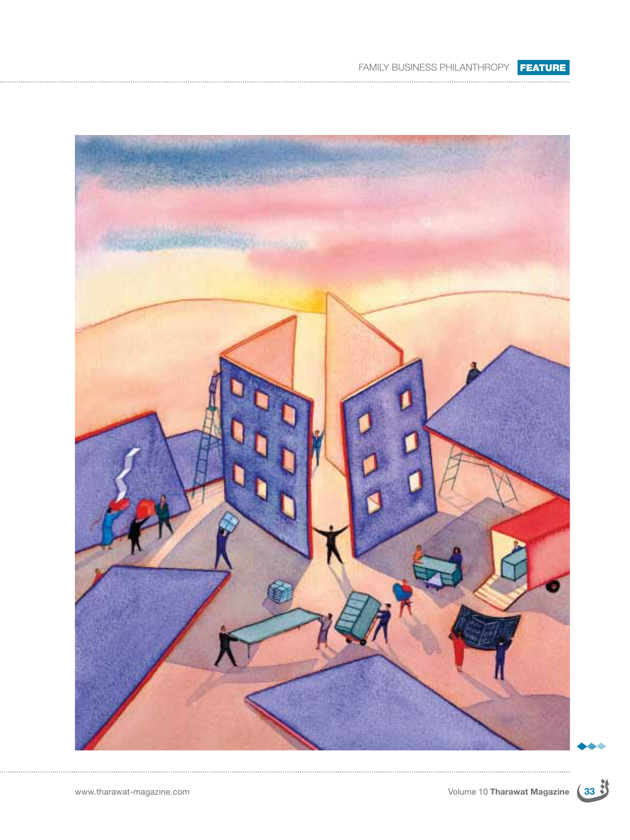FAMILY BUSINESS PHILANTHROPY **FEATURE** 

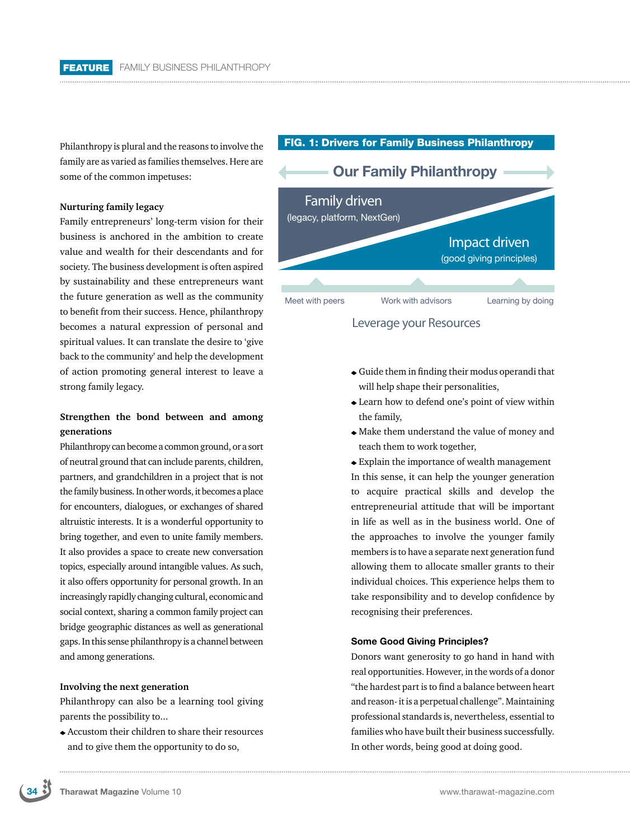Philanthropy is plural and the reasons to involve the family are as varied as families themselves. Here are some of the common impetuses:

#### **Nurturing family legacy**

Family entrepreneurs' long-term vision for their business is anchored in the ambition to create value and wealth for their descendants and for society. The business development is often aspired by sustainability and these entrepreneurs want the future generation as well as the community to benefit from their success. Hence, philanthropy becomes a natural expression of personal and spiritual values. It can translate the desire to 'give back to the community' and help the development of action promoting general interest to leave a strong family legacy.

# **Strengthen the bond between and among generations**

Philanthropy can become a common ground, or a sort of neutral ground that can include parents, children, partners, and grandchildren in a project that is not the family business. In other words, it becomes a place for encounters, dialogues, or exchanges of shared altruistic interests. It is a wonderful opportunity to bring together, and even to unite family members. It also provides a space to create new conversation topics, especially around intangible values. As such, it also offers opportunity for personal growth. In an increasingly rapidly changing cultural, economic and social context, sharing a common family project can bridge geographic distances as well as generational gaps. In this sense philanthropy is a channel between and among generations.

#### **Involving the next generation**

Philanthropy can also be a learning tool giving parents the possibility to...

Accustom their children to share their resources and to give them the opportunity to do so,



# Leverage your Resources

- $\triangle$  Guide them in finding their modus operandi that will help shape their personalities,
- Learn how to defend one's point of view within the family,
- Make them understand the value of money and teach them to work together,
- Explain the importance of wealth management In this sense, it can help the younger generation to acquire practical skills and develop the entrepreneurial attitude that will be important in life as well as in the business world. One of the approaches to involve the younger family members is to have a separate next generation fund allowing them to allocate smaller grants to their individual choices. This experience helps them to take responsibility and to develop confidence by recognising their preferences.

#### **Some Good Giving Principles?**

Donors want generosity to go hand in hand with real opportunities. However, in the words of a donor "the hardest part is to find a balance between heart and reason- it is a perpetual challenge". Maintaining professional standards is, nevertheless, essential to families who have built their business successfully. In other words, being good at doing good.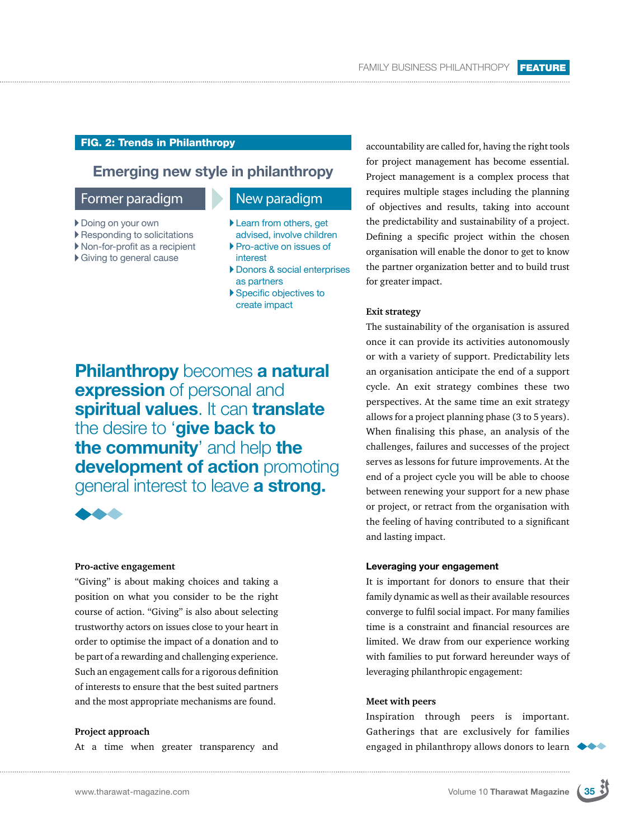## FIG. 2: Trends in Philanthropy

# **Emerging new style in philanthropy**

# Former paradigm  $\blacksquare$  New paradigm

- Doing on your own
- ▶ Responding to solicitations
- Non-for-profit as a recipient
- Giving to general cause

- ▶ Learn from others, get advised, involve children
- Pro-active on issues of interest
- Donors & social enterprises as partners
- ▶ Specific objectives to create impact

**Philanthropy** becomes **a natural expression** of personal and **spiritual values**. It can **translate**  the desire to '**give back to the community**' and help **the development of action** promoting general interest to leave **a strong.**



#### **Pro-active engagement**

"Giving" is about making choices and taking a position on what you consider to be the right course of action. "Giving" is also about selecting trustworthy actors on issues close to your heart in order to optimise the impact of a donation and to be part of a rewarding and challenging experience. Such an engagement calls for a rigorous definition of interests to ensure that the best suited partners and the most appropriate mechanisms are found.

#### **Project approach**

At a time when greater transparency and

accountability are called for, having the right tools for project management has become essential. Project management is a complex process that requires multiple stages including the planning of objectives and results, taking into account the predictability and sustainability of a project. Defining a specific project within the chosen organisation will enable the donor to get to know the partner organization better and to build trust for greater impact.

#### **Exit strategy**

The sustainability of the organisation is assured once it can provide its activities autonomously or with a variety of support. Predictability lets an organisation anticipate the end of a support cycle. An exit strategy combines these two perspectives. At the same time an exit strategy allows for a project planning phase (3 to 5 years). When finalising this phase, an analysis of the challenges, failures and successes of the project serves as lessons for future improvements. At the end of a project cycle you will be able to choose between renewing your support for a new phase or project, or retract from the organisation with the feeling of having contributed to a significant and lasting impact.

#### **Leveraging your engagement**

It is important for donors to ensure that their family dynamic as well as their available resources converge to fulfil social impact. For many families time is a constraint and financial resources are limited. We draw from our experience working with families to put forward hereunder ways of leveraging philanthropic engagement:

### **Meet with peers**

Inspiration through peers is important. Gatherings that are exclusively for families engaged in philanthropy allows donors to learn



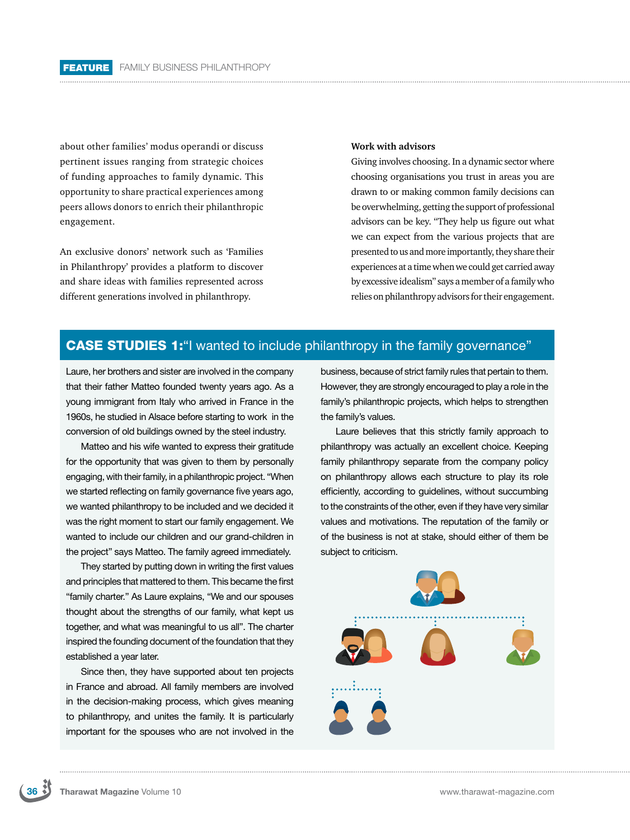about other families' modus operandi or discuss pertinent issues ranging from strategic choices of funding approaches to family dynamic. This opportunity to share practical experiences among peers allows donors to enrich their philanthropic engagement.

An exclusive donors' network such as 'Families in Philanthropy' provides a platform to discover and share ideas with families represented across different generations involved in philanthropy.

#### **Work with advisors**

Giving involves choosing. In a dynamic sector where choosing organisations you trust in areas you are drawn to or making common family decisions can be overwhelming, getting the support of professional advisors can be key. "They help us figure out what we can expect from the various projects that are presented to us and more importantly, they share their experiences at a time when we could get carried away by excessive idealism" says a member of a family who relies on philanthropy advisors for their engagement.

# **CASE STUDIES 1:**"I wanted to include philanthropy in the family governance"

Laure, her brothers and sister are involved in the company that their father Matteo founded twenty years ago. As a young immigrant from Italy who arrived in France in the 1960s, he studied in Alsace before starting to work in the conversion of old buildings owned by the steel industry.

Matteo and his wife wanted to express their gratitude for the opportunity that was given to them by personally engaging, with their family, in a philanthropic project. "When we started reflecting on family governance five years ago, we wanted philanthropy to be included and we decided it was the right moment to start our family engagement. We wanted to include our children and our grand-children in the project" says Matteo. The family agreed immediately.

They started by putting down in writing the first values and principles that mattered to them. This became the first "family charter." As Laure explains, "We and our spouses thought about the strengths of our family, what kept us together, and what was meaningful to us all". The charter inspired the founding document of the foundation that they established a year later.

Since then, they have supported about ten projects in France and abroad. All family members are involved in the decision-making process, which gives meaning to philanthropy, and unites the family. It is particularly important for the spouses who are not involved in the

business, because of strict family rules that pertain to them. However, they are strongly encouraged to play a role in the family's philanthropic projects, which helps to strengthen the family's values.

Laure believes that this strictly family approach to philanthropy was actually an excellent choice. Keeping family philanthropy separate from the company policy on philanthropy allows each structure to play its role efficiently, according to guidelines, without succumbing to the constraints of the other, even if they have very similar values and motivations. The reputation of the family or of the business is not at stake, should either of them be subject to criticism.